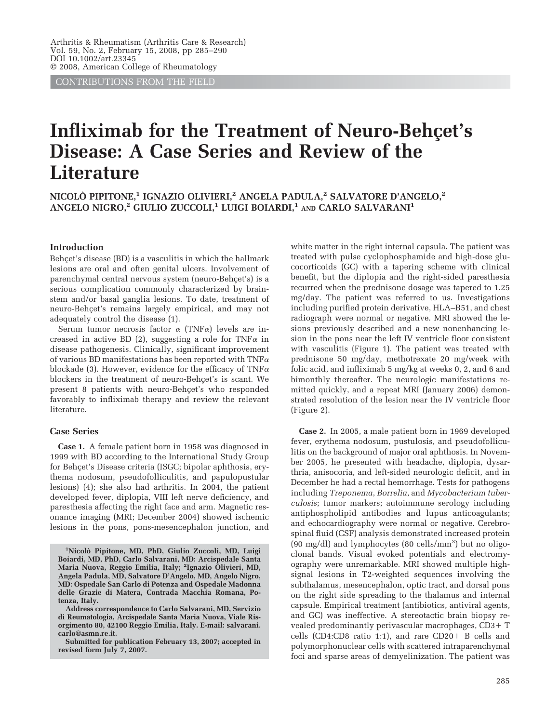CONTRIBUTIONS FROM THE FIELD

# **Infliximab for the Treatment of Neuro-Behcet's Disease: A Case Series and Review of the Literature**

**NICOLO` PIPITONE,1 IGNAZIO OLIVIERI,2 ANGELA PADULA,2 SALVATORE D'ANGELO,2 ANGELO NIGRO,2 GIULIO ZUCCOLI,1 LUIGI BOIARDI,1 AND CARLO SALVARANI1**

#### **Introduction**

Behçet's disease (BD) is a vasculitis in which the hallmark lesions are oral and often genital ulcers. Involvement of parenchymal central nervous system (neuro-Behçet's) is a serious complication commonly characterized by brainstem and/or basal ganglia lesions. To date, treatment of neuro-Behçet's remains largely empirical, and may not adequately control the disease (1).

Serum tumor necrosis factor  $\alpha$  (TNF $\alpha$ ) levels are increased in active BD (2), suggesting a role for TNF $\alpha$  in disease pathogenesis. Clinically, significant improvement of various BD manifestations has been reported with TNF $\alpha$ blockade (3). However, evidence for the efficacy of TNF $\alpha$ blockers in the treatment of neuro-Behçet's is scant. We present 8 patients with neuro-Behcet's who responded favorably to infliximab therapy and review the relevant literature.

## **Case Series**

**Case 1.** A female patient born in 1958 was diagnosed in 1999 with BD according to the International Study Group for Behçet's Disease criteria (ISGC; bipolar aphthosis, erythema nodosum, pseudofolliculitis, and papulopustular lesions) (4); she also had arthritis. In 2004, the patient developed fever, diplopia, VIII left nerve deficiency, and paresthesia affecting the right face and arm. Magnetic resonance imaging (MRI; December 2004) showed ischemic lesions in the pons, pons-mesencephalon junction, and

white matter in the right internal capsula. The patient was treated with pulse cyclophosphamide and high-dose glucocorticoids (GC) with a tapering scheme with clinical benefit, but the diplopia and the right-sided paresthesia recurred when the prednisone dosage was tapered to 1.25 mg/day. The patient was referred to us. Investigations including purified protein derivative, HLA–B51, and chest radiograph were normal or negative. MRI showed the lesions previously described and a new nonenhancing lesion in the pons near the left IV ventricle floor consistent with vasculitis (Figure 1). The patient was treated with prednisone 50 mg/day, methotrexate 20 mg/week with folic acid, and infliximab 5 mg/kg at weeks 0, 2, and 6 and bimonthly thereafter. The neurologic manifestations remitted quickly, and a repeat MRI (January 2006) demonstrated resolution of the lesion near the IV ventricle floor (Figure 2).

**Case 2.** In 2005, a male patient born in 1969 developed fever, erythema nodosum, pustulosis, and pseudofolliculitis on the background of major oral aphthosis. In November 2005, he presented with headache, diplopia, dysarthria, anisocoria, and left-sided neurologic deficit, and in December he had a rectal hemorrhage. Tests for pathogens including *Treponema*, *Borrelia*, and *Mycobacterium tuberculosis*; tumor markers; autoimmune serology including antiphospholipid antibodies and lupus anticoagulants; and echocardiography were normal or negative. Cerebrospinal fluid (CSF) analysis demonstrated increased protein (90 mg/dl) and lymphocytes (80 cells/mm<sup>3</sup>) but no oligoclonal bands. Visual evoked potentials and electromyography were unremarkable. MRI showed multiple highsignal lesions in T2-weighted sequences involving the subthalamus, mesencephalon, optic tract, and dorsal pons on the right side spreading to the thalamus and internal capsule. Empirical treatment (antibiotics, antiviral agents, and GC) was ineffective. A stereotactic brain biopsy revealed predominantly perivascular macrophages,  $CD3+T$ cells (CD4:CD8 ratio 1:1), and rare  $CD20+$  B cells and polymorphonuclear cells with scattered intraparenchymal foci and sparse areas of demyelinization. The patient was

**<sup>1</sup> Nicolo` Pipitone, MD, PhD, Giulio Zuccoli, MD, Luigi Boiardi, MD, PhD, Carlo Salvarani, MD: Arcispedale Santa Maria Nuova, Reggio Emilia, Italy; <sup>2</sup> Ignazio Olivieri, MD, Angela Padula, MD, Salvatore D'Angelo, MD, Angelo Nigro, MD: Ospedale San Carlo di Potenza and Ospedale Madonna delle Grazie di Matera, Contrada Macchia Romana, Potenza, Italy.**

**Address correspondence to Carlo Salvarani, MD, Servizio di Reumatologia, Arcispedale Santa Maria Nuova, Viale Risorgimento 80, 42100 Reggio Emilia, Italy. E-mail: salvarani. carlo@asmn.re.it.**

**Submitted for publication February 13, 2007; accepted in revised form July 7, 2007.**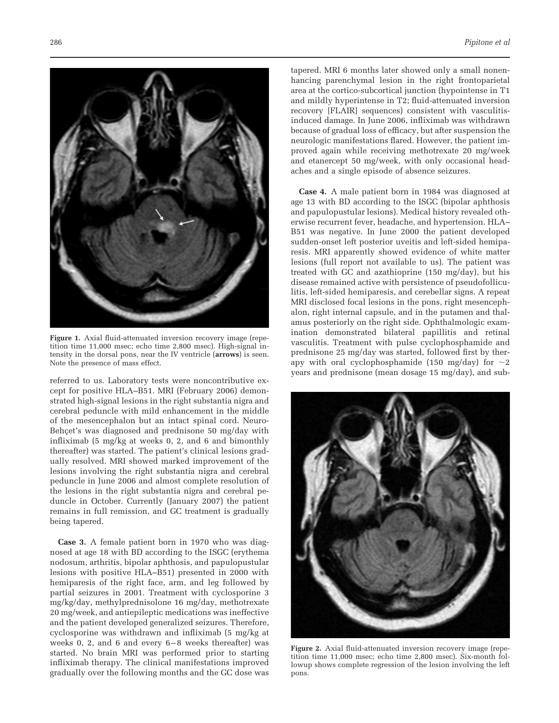

**Figure 1.** Axial fluid-attenuated inversion recovery image (repetition time 11,000 msec; echo time 2,800 msec). High-signal intensity in the dorsal pons, near the IV ventricle (**arrows**) is seen. Note the presence of mass effect.

referred to us. Laboratory tests were noncontributive except for positive HLA–B51. MRI (February 2006) demonstrated high-signal lesions in the right substantia nigra and cerebral peduncle with mild enhancement in the middle of the mesencephalon but an intact spinal cord. Neuro-Behçet's was diagnosed and prednisone 50 mg/day with infliximab (5 mg/kg at weeks 0, 2, and 6 and bimonthly thereafter) was started. The patient's clinical lesions gradually resolved. MRI showed marked improvement of the lesions involving the right substantia nigra and cerebral peduncle in June 2006 and almost complete resolution of the lesions in the right substantia nigra and cerebral peduncle in October. Currently (January 2007) the patient remains in full remission, and GC treatment is gradually being tapered.

**Case 3.** A female patient born in 1970 who was diagnosed at age 18 with BD according to the ISGC (erythema nodosum, arthritis, bipolar aphthosis, and papulopustular lesions with positive HLA–B51) presented in 2000 with hemiparesis of the right face, arm, and leg followed by partial seizures in 2001. Treatment with cyclosporine 3 mg/kg/day, methylprednisolone 16 mg/day, methotrexate 20 mg/week, and antiepileptic medications was ineffective and the patient developed generalized seizures. Therefore, cyclosporine was withdrawn and infliximab (5 mg/kg at weeks 0, 2, and 6 and every 6-8 weeks thereafter) was started. No brain MRI was performed prior to starting infliximab therapy. The clinical manifestations improved gradually over the following months and the GC dose was

tapered. MRI 6 months later showed only a small nonenhancing parenchymal lesion in the right frontoparietal area at the cortico-subcortical junction (hypointense in T1 and mildly hyperintense in T2; fluid-attenuated inversion recovery [FLAIR] sequences) consistent with vasculitisinduced damage. In June 2006, infliximab was withdrawn because of gradual loss of efficacy, but after suspension the neurologic manifestations flared. However, the patient improved again while receiving methotrexate 20 mg/week and etanercept 50 mg/week, with only occasional headaches and a single episode of absence seizures.

**Case 4.** A male patient born in 1984 was diagnosed at age 13 with BD according to the ISGC (bipolar aphthosis and papulopustular lesions). Medical history revealed otherwise recurrent fever, headache, and hypertension. HLA– B51 was negative. In June 2000 the patient developed sudden-onset left posterior uveitis and left-sided hemiparesis. MRI apparently showed evidence of white matter lesions (full report not available to us). The patient was treated with GC and azathioprine (150 mg/day), but his disease remained active with persistence of pseudofolliculitis, left-sided hemiparesis, and cerebellar signs. A repeat MRI disclosed focal lesions in the pons, right mesencephalon, right internal capsule, and in the putamen and thalamus posteriorly on the right side. Ophthalmologic examination demonstrated bilateral papillitis and retinal vasculitis. Treatment with pulse cyclophosphamide and prednisone 25 mg/day was started, followed first by therapy with oral cyclophosphamide (150 mg/day) for  $\sim\!\!2$ years and prednisone (mean dosage 15 mg/day), and sub-



**Figure 2.** Axial fluid-attenuated inversion recovery image (repetition time 11,000 msec; echo time 2,800 msec). Six-month followup shows complete regression of the lesion involving the left pons.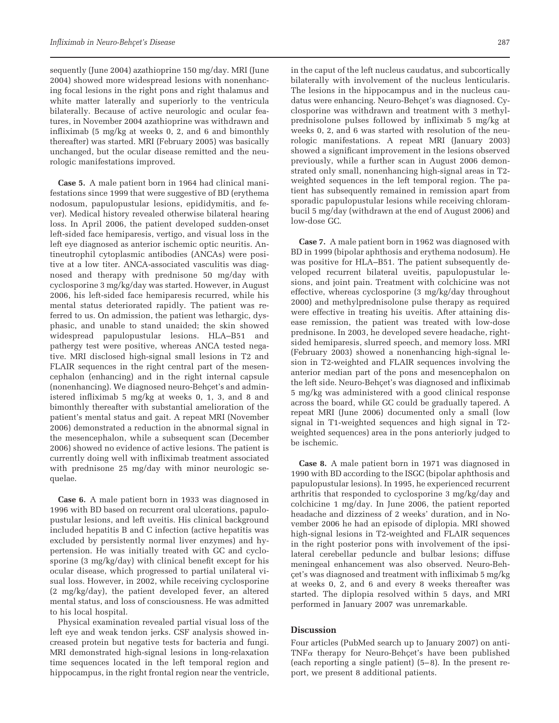sequently (June 2004) azathioprine 150 mg/day. MRI (June 2004) showed more widespread lesions with nonenhancing focal lesions in the right pons and right thalamus and white matter laterally and superiorly to the ventricula bilaterally. Because of active neurologic and ocular features, in November 2004 azathioprine was withdrawn and infliximab (5 mg/kg at weeks 0, 2, and 6 and bimonthly thereafter) was started. MRI (February 2005) was basically unchanged, but the ocular disease remitted and the neurologic manifestations improved.

**Case 5.** A male patient born in 1964 had clinical manifestations since 1999 that were suggestive of BD (erythema nodosum, papulopustular lesions, epididymitis, and fever). Medical history revealed otherwise bilateral hearing loss. In April 2006, the patient developed sudden-onset left-sided face hemiparesis, vertigo, and visual loss in the left eye diagnosed as anterior ischemic optic neuritis. Antineutrophil cytoplasmic antibodies (ANCAs) were positive at a low titer. ANCA-associated vasculitis was diagnosed and therapy with prednisone 50 mg/day with cyclosporine 3 mg/kg/day was started. However, in August 2006, his left-sided face hemiparesis recurred, while his mental status deteriorated rapidly. The patient was referred to us. On admission, the patient was lethargic, dysphasic, and unable to stand unaided; the skin showed widespread papulopustular lesions. HLA–B51 and pathergy test were positive, whereas ANCA tested negative. MRI disclosed high-signal small lesions in T2 and FLAIR sequences in the right central part of the mesencephalon (enhancing) and in the right internal capsule (nonenhancing). We diagnosed neuro-Behçet's and administered infliximab 5 mg/kg at weeks 0, 1, 3, and 8 and bimonthly thereafter with substantial amelioration of the patient's mental status and gait. A repeat MRI (November 2006) demonstrated a reduction in the abnormal signal in the mesencephalon, while a subsequent scan (December 2006) showed no evidence of active lesions. The patient is currently doing well with infliximab treatment associated with prednisone 25 mg/day with minor neurologic sequelae.

**Case 6.** A male patient born in 1933 was diagnosed in 1996 with BD based on recurrent oral ulcerations, papulopustular lesions, and left uveitis. His clinical background included hepatitis B and C infection (active hepatitis was excluded by persistently normal liver enzymes) and hypertension. He was initially treated with GC and cyclosporine (3 mg/kg/day) with clinical benefit except for his ocular disease, which progressed to partial unilateral visual loss. However, in 2002, while receiving cyclosporine (2 mg/kg/day), the patient developed fever, an altered mental status, and loss of consciousness. He was admitted to his local hospital.

Physical examination revealed partial visual loss of the left eye and weak tendon jerks. CSF analysis showed increased protein but negative tests for bacteria and fungi. MRI demonstrated high-signal lesions in long-relaxation time sequences located in the left temporal region and hippocampus, in the right frontal region near the ventricle, in the caput of the left nucleus caudatus, and subcortically bilaterally with involvement of the nucleus lenticularis. The lesions in the hippocampus and in the nucleus caudatus were enhancing. Neuro-Behçet's was diagnosed. Cyclosporine was withdrawn and treatment with 3 methylprednisolone pulses followed by infliximab 5 mg/kg at weeks 0, 2, and 6 was started with resolution of the neurologic manifestations. A repeat MRI (January 2003) showed a significant improvement in the lesions observed previously, while a further scan in August 2006 demonstrated only small, nonenhancing high-signal areas in T2 weighted sequences in the left temporal region. The patient has subsequently remained in remission apart from sporadic papulopustular lesions while receiving chlorambucil 5 mg/day (withdrawn at the end of August 2006) and low-dose GC.

**Case 7.** A male patient born in 1962 was diagnosed with BD in 1999 (bipolar aphthosis and erythema nodosum). He was positive for HLA–B51. The patient subsequently developed recurrent bilateral uveitis, papulopustular lesions, and joint pain. Treatment with colchicine was not effective, whereas cyclosporine (3 mg/kg/day throughout 2000) and methylprednisolone pulse therapy as required were effective in treating his uveitis. After attaining disease remission, the patient was treated with low-dose prednisone. In 2003, he developed severe headache, rightsided hemiparesis, slurred speech, and memory loss. MRI (February 2003) showed a nonenhancing high-signal lesion in T2-weighted and FLAIR sequences involving the anterior median part of the pons and mesencephalon on the left side. Neuro-Behçet's was diagnosed and infliximab 5 mg/kg was administered with a good clinical response across the board, while GC could be gradually tapered. A repeat MRI (June 2006) documented only a small (low signal in T1-weighted sequences and high signal in T2 weighted sequences) area in the pons anteriorly judged to be ischemic.

**Case 8.** A male patient born in 1971 was diagnosed in 1990 with BD according to the ISGC (bipolar aphthosis and papulopustular lesions). In 1995, he experienced recurrent arthritis that responded to cyclosporine 3 mg/kg/day and colchicine 1 mg/day. In June 2006, the patient reported headache and dizziness of 2 weeks' duration, and in November 2006 he had an episode of diplopia. MRI showed high-signal lesions in T2-weighted and FLAIR sequences in the right posterior pons with involvement of the ipsilateral cerebellar peduncle and bulbar lesions; diffuse meningeal enhancement was also observed. Neuro-Behcet's was diagnosed and treatment with infliximab 5 mg/kg at weeks 0, 2, and 6 and every 8 weeks thereafter was started. The diplopia resolved within 5 days, and MRI performed in January 2007 was unremarkable.

### **Discussion**

Four articles (PubMed search up to January 2007) on anti- $TNF\alpha$  therapy for Neuro-Behçet's have been published (each reporting a single patient) (5– 8). In the present report, we present 8 additional patients.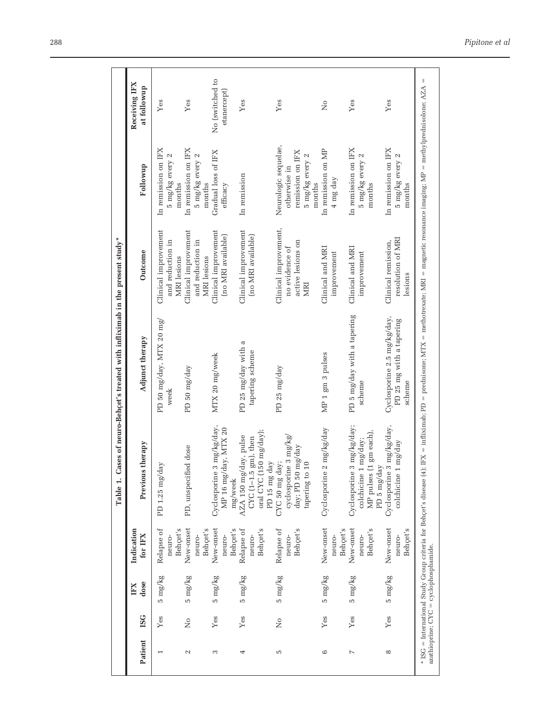|               |               |                                       |                                  | Table 1.                                                                                                               | Cases of neuro-Behcet's treated with infliximab in the present study*                                                                                                                      |                                                                     |                                                                                       |                                |
|---------------|---------------|---------------------------------------|----------------------------------|------------------------------------------------------------------------------------------------------------------------|--------------------------------------------------------------------------------------------------------------------------------------------------------------------------------------------|---------------------------------------------------------------------|---------------------------------------------------------------------------------------|--------------------------------|
| Patient       | <b>ISG</b>    | dose<br>IFX                           | Indication<br>for IFX            | Previous therapy                                                                                                       | Adjunct therapy                                                                                                                                                                            | Outcome                                                             | Followup                                                                              | Receiving IFX<br>at followup   |
|               | ${\it Yes}$   | 5 mg/kg                               | Behçet's<br>Relapse of<br>neuro- | day<br>PD 1.25 mg/                                                                                                     | PD 50 mg/day, MTX 20 mg/<br>week                                                                                                                                                           | Clinical improvement<br>and reduction in<br><b>MRI</b> lesions      | In remission on IFX<br>5 mg/kg every 2<br>months                                      | Yes                            |
| $\mathcal{L}$ | ż             | $5 \text{ mg/kg}$                     | New-onset<br>Behçet's<br>neuro-  | PD, unspecified dose                                                                                                   | PD 50 mg/day                                                                                                                                                                               | Clinical improvement<br>and reduction in<br>MRI lesions             | In remission on IFX<br>5 mg/kg every 2<br>months                                      | Yes                            |
| 3             | $Y$ es        | $5 \text{ mg/kg}$                     | New-onset<br>Behçet's<br>neuro-  | 3 mg/kg/day,<br>MP 16 mg/day, MTX 20<br>Cyclosporine<br>mg/week                                                        | MTX 20 mg/week                                                                                                                                                                             | Clinical improvement<br>(no MRI available)                          | Gradual loss of IFX<br>efficacy                                                       | No (switched to<br>etanercept) |
| 4             | Yes           | 5 mg/kg                               | Behçet's<br>Relapse of<br>neuro- | oral CYC (150 mg/day);<br>AZA 150 mg/day, pulse<br>CYC $(1-1.5 \text{ gm})$ , then<br>$_{\rm day}$<br>${\rm PD}$ 15 mg | PD 25 mg/day with a<br>tapering scheme                                                                                                                                                     | Clinical improvement<br>(no MRI available)                          | In remission                                                                          | Yes                            |
| Б             | $\frac{1}{2}$ | $5 \text{ mg/kg}$                     | Behçet's<br>Relapse of<br>neuro- | cyclosporine 3 mg/kg<br>mg/day<br>CYC 50 mg day;<br>day; PD 50<br>tapering to                                          | PD 25 mg/day                                                                                                                                                                               | Clinical improvement,<br>active lesions on<br>no evidence of<br>MRI | Neurologic sequelae,<br>remission on IFX<br>5 mg/kg every 2<br>otherwise in<br>months | Yes                            |
| 6             | $Y$ es        | $5 \text{ mg/kg}$                     | New-onset<br>Behçet's<br>neuro-  | $2 \text{ mg/kg/day}$<br>Cyclosporine                                                                                  | MP 1 gm 3 pulses                                                                                                                                                                           | Clinical and MRI<br>improvement                                     | In remission on MP<br>4 mg day                                                        | $\overline{\mathsf{z}}$        |
| $\sim$        | $Y$ es        | $5 \text{ mg/kg}$                     | New-onset<br>Behçet's<br>neuro-  | 3 mg/kg/day;<br>MP pulses (1 gm each),<br>1 mg/day;<br>PD 5 mg/day<br>Cyclosporine<br>colchicine                       | PD 5 mg/day with a tapering<br>scheme                                                                                                                                                      | Clinical and MRI<br>improvement                                     | In remission on IFX<br>5 mg/kg every 2<br>months                                      | Yes                            |
| $\infty$      | Yes           | 5 mg/kg                               | New-onset<br>Behçet's<br>neuro-  | Cyclosporine 3 mg/kg/day,<br>1 mg/day<br>colchicine                                                                    | Cyclosporine 2.5 mg/kg/day,<br>PD 25 mg with a tapering<br>scheme                                                                                                                          | resolution of MRI<br>Clinical remission,<br>lesions                 | In remission on IFX<br>5 mg/kg every 2<br>months                                      | Yes                            |
|               |               | azathioprine; CYC = cyclophosphamide. |                                  |                                                                                                                        | * ISG = International Study Group criteria for Behçet's disease (4); IFX = infliximab; PD = prednisone; MTX = methotrexate; MRI = magnetic resonance imaging; MP = methylprednisolone; AZA |                                                                     |                                                                                       | $\parallel$                    |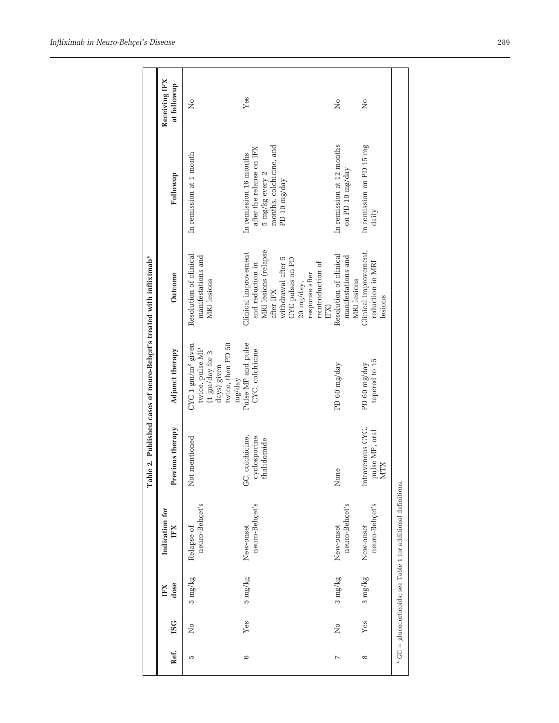|          |            |                   |                                                                   |                                                  | Table 2. Published cases of neuro-Behçet's treated with infliximab*                                                |                                                                                                                                                                                      |                                                                                                                  |                              |
|----------|------------|-------------------|-------------------------------------------------------------------|--------------------------------------------------|--------------------------------------------------------------------------------------------------------------------|--------------------------------------------------------------------------------------------------------------------------------------------------------------------------------------|------------------------------------------------------------------------------------------------------------------|------------------------------|
| Ref.     | <b>ISG</b> | dose<br>ЩI        | Indication for<br>$_{\rm H X}$                                    | Previous therapy                                 | Adjunct therapy                                                                                                    | Outcome                                                                                                                                                                              | Followup                                                                                                         | Receiving IFX<br>at followup |
| Б        | ž          | 5 mg/kg           | neuro-Behcet's<br>Relapse of                                      | Not mentioned                                    | days) given<br>twice, then PD 50<br>$\mathrm{CVC}$ 1 gm/m² given<br>twice, pulse MP<br>(1 $gm/day$ for 3<br>mg/day | Resolution of clinical<br>manifestations and<br><b>MRI</b> lesions                                                                                                                   | In remission at 1 month                                                                                          | ż                            |
| 6        | Yes        | $5 \text{ mg/kg}$ | neuro-Behçet's<br>New-onset                                       | cyclosporine,<br>GC, colchicine,<br>thalidomide  | Pulse MP and pulse<br>CYC, colchicine                                                                              | MRI lesions (relapse<br>Clinical improvement<br>withdrawal after 5<br>CYC pulses on PD<br>reintroduction of<br>and reduction in<br>response after<br>20 mg/day,<br>after IFX<br>IFX) | months, colchicine, and<br>after the relapse on IFX<br>In remission 16 months<br>5 mg/kg every 2<br>PD 10 mg/day | Yes                          |
| $\sim$   | ż          | 3 mg/kg           | neuro-Behçet's<br>New-onset                                       | None                                             | PD 60 mg/day                                                                                                       | Resolution of clinical<br>manifestations and<br>MRI lesions                                                                                                                          | In remission at 12 months<br>on PD 10 mg/day                                                                     | ż                            |
| $\infty$ | Yes        | 3 mg/kg           | neuro-Behçet's<br>New-onset                                       | Intravenous CYC,<br>pulse MP, oral<br><b>MTX</b> | tapered to 15<br>PD 60 mg/day                                                                                      | Clinical improvement,<br>reduction in MRI<br>lesions                                                                                                                                 | In remission on PD 15 mg<br>daily                                                                                | ż                            |
|          |            |                   | $*$ GC = glucocorticoids; see Table 1 for additional definitions. |                                                  |                                                                                                                    |                                                                                                                                                                                      |                                                                                                                  |                              |